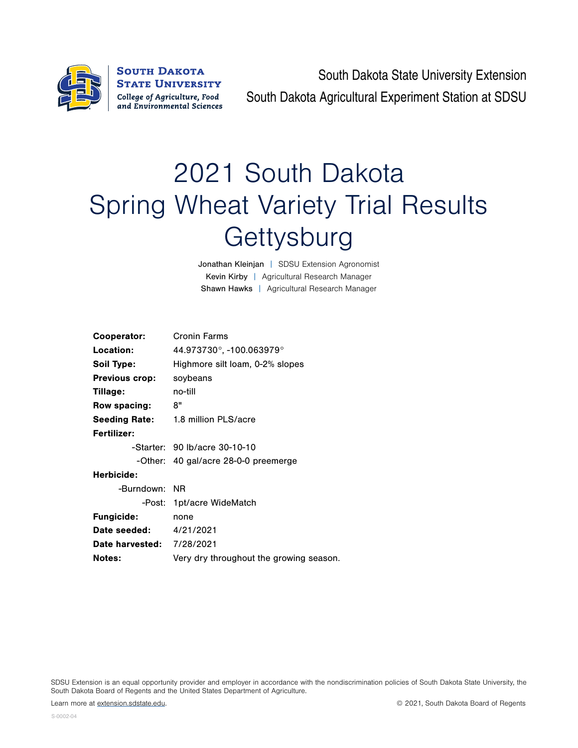

**SOUTH DAKOTA STATE UNIVERSITY** College of Agriculture, Food and Environmental Sciences

South Dakota State University Extension South Dakota Agricultural Experiment Station at SDSU

## 2021 South Dakota Spring Wheat Variety Trial Results **Gettysburg**

Jonathan Kleinjan | SDSU Extension Agronomist Kevin Kirby | Agricultural Research Manager Shawn Hawks | Agricultural Research Manager

| Cooperator:                      | Cronin Farms                              |  |  |  |  |  |
|----------------------------------|-------------------------------------------|--|--|--|--|--|
| Location:                        | 44.973730°, -100.063979°                  |  |  |  |  |  |
| Soil Type:                       | Highmore silt loam, 0-2% slopes           |  |  |  |  |  |
| <b>Previous crop:</b>            | soybeans                                  |  |  |  |  |  |
| Tillage:                         | no-till                                   |  |  |  |  |  |
| Row spacing:                     | 8"                                        |  |  |  |  |  |
|                                  | <b>Seeding Rate:</b> 1.8 million PLS/acre |  |  |  |  |  |
| Fertilizer:                      |                                           |  |  |  |  |  |
|                                  | -Starter: 90 lb/acre 30-10-10             |  |  |  |  |  |
|                                  | -Other: 40 gal/acre 28-0-0 preemerge      |  |  |  |  |  |
| Herbicide:                       |                                           |  |  |  |  |  |
| -Burndown: NR                    |                                           |  |  |  |  |  |
|                                  | -Post: 1pt/acre WideMatch                 |  |  |  |  |  |
| <b>Fungicide:</b>                | none                                      |  |  |  |  |  |
| Date seeded:                     | 4/21/2021                                 |  |  |  |  |  |
| <b>Date harvested: 7/28/2021</b> |                                           |  |  |  |  |  |
| <b>Notes:</b>                    | Very dry throughout the growing season.   |  |  |  |  |  |
|                                  |                                           |  |  |  |  |  |

SDSU Extension is an equal opportunity provider and employer in accordance with the nondiscrimination policies of South Dakota State University, the South Dakota Board of Regents and the United States Department of Agriculture.